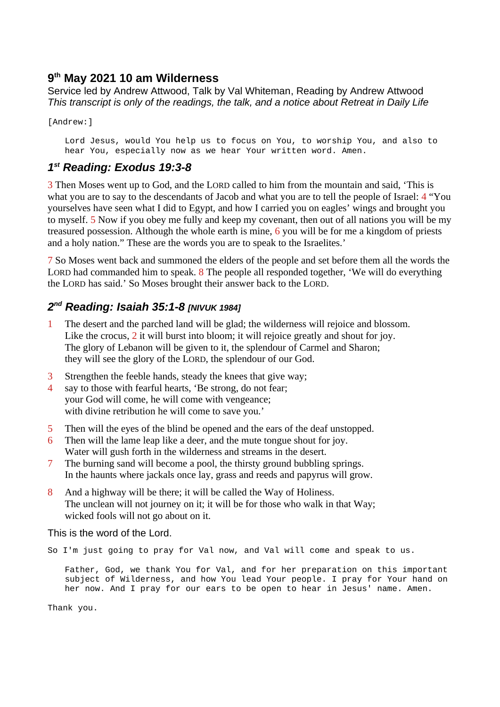## **9 th May 2021 10 am Wilderness**

Service led by Andrew Attwood, Talk by Val Whiteman, Reading by Andrew Attwood *This transcript is only of the readings, the talk, and a notice about Retreat in Daily Life*

[Andrew:]

Lord Jesus, would You help us to focus on You, to worship You, and also to hear You, especially now as we hear Your written word. Amen.

# *1 st Reading: Exodus 19:3-8*

3 Then Moses went up to God, and the LORD called to him from the mountain and said, 'This is what you are to say to the descendants of Jacob and what you are to tell the people of Israel: 4 "You yourselves have seen what I did to Egypt, and how I carried you on eagles' wings and brought you to myself. 5 Now if you obey me fully and keep my covenant, then out of all nations you will be my treasured possession. Although the whole earth is mine, 6 you will be for me a kingdom of priests and a holy nation." These are the words you are to speak to the Israelites.'

7 So Moses went back and summoned the elders of the people and set before them all the words the LORD had commanded him to speak.  $8$  The people all responded together, 'We will do everything the LORD has said.' So Moses brought their answer back to the LORD.

## *2 nd Reading: Isaiah 35:1-8 [NIVUK 1984]*

- 1 The desert and the parched land will be glad; the wilderness will rejoice and blossom. Like the crocus, 2 it will burst into bloom; it will rejoice greatly and shout for joy. The glory of Lebanon will be given to it, the splendour of Carmel and Sharon; they will see the glory of the LORD, the splendour of our God.
- 3 Strengthen the feeble hands, steady the knees that give way;
- 4 say to those with fearful hearts, 'Be strong, do not fear; your God will come, he will come with vengeance; with divine retribution he will come to save you.'
- 5 Then will the eyes of the blind be opened and the ears of the deaf unstopped.
- 6 Then will the lame leap like a deer, and the mute tongue shout for joy. Water will gush forth in the wilderness and streams in the desert.
- 7 The burning sand will become a pool, the thirsty ground bubbling springs. In the haunts where jackals once lay, grass and reeds and papyrus will grow.
- 8 And a highway will be there; it will be called the Way of Holiness. The unclean will not journey on it; it will be for those who walk in that Way; wicked fools will not go about on it.

This is the word of the Lord.

So I'm just going to pray for Val now, and Val will come and speak to us.

Father, God, we thank You for Val, and for her preparation on this important subject of Wilderness, and how You lead Your people. I pray for Your hand on her now. And I pray for our ears to be open to hear in Jesus' name. Amen.

Thank you.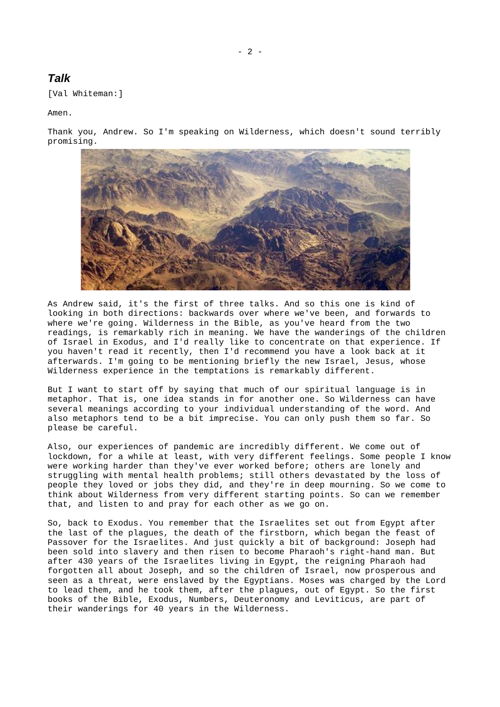### *Talk*

[Val Whiteman:]

Amen.

Thank you, Andrew. So I'm speaking on Wilderness, which doesn't sound terribly promising.



As Andrew said, it's the first of three talks. And so this one is kind of looking in both directions: backwards over where we've been, and forwards to where we're going. Wilderness in the Bible, as you've heard from the two readings, is remarkably rich in meaning. We have the wanderings of the children of Israel in Exodus, and I'd really like to concentrate on that experience. If you haven't read it recently, then I'd recommend you have a look back at it afterwards. I'm going to be mentioning briefly the new Israel, Jesus, whose Wilderness experience in the temptations is remarkably different.

But I want to start off by saying that much of our spiritual language is in metaphor. That is, one idea stands in for another one. So Wilderness can have several meanings according to your individual understanding of the word. And also metaphors tend to be a bit imprecise. You can only push them so far. So please be careful.

Also, our experiences of pandemic are incredibly different. We come out of lockdown, for a while at least, with very different feelings. Some people I know were working harder than they've ever worked before; others are lonely and struggling with mental health problems; still others devastated by the loss of people they loved or jobs they did, and they're in deep mourning. So we come to think about Wilderness from very different starting points. So can we remember that, and listen to and pray for each other as we go on.

So, back to Exodus. You remember that the Israelites set out from Egypt after the last of the plagues, the death of the firstborn, which began the feast of Passover for the Israelites. And just quickly a bit of background: Joseph had been sold into slavery and then risen to become Pharaoh's right-hand man. But after 430 years of the Israelites living in Egypt, the reigning Pharaoh had forgotten all about Joseph, and so the children of Israel, now prosperous and seen as a threat, were enslaved by the Egyptians. Moses was charged by the Lord to lead them, and he took them, after the plagues, out of Egypt. So the first books of the Bible, Exodus, Numbers, Deuteronomy and Leviticus, are part of their wanderings for 40 years in the Wilderness.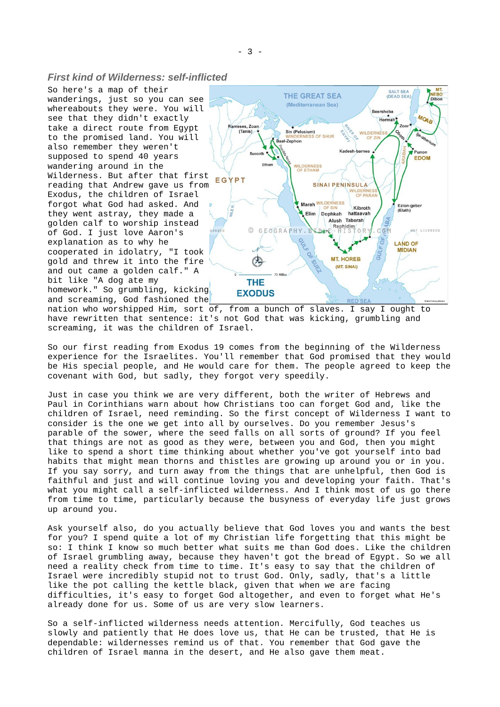#### *First kind of Wilderness: self-inflicted*

So here's a map of their wanderings, just so you can see whereabouts they were. You will see that they didn't exactly take a direct route from Egypt to the promised land. You will also remember they weren't supposed to spend 40 years wandering around in the Wilderness. But after that first reading that Andrew gave us from Exodus, the children of Israel forgot what God had asked. And they went astray, they made a golden calf to worship instead of God. I just love Aaron's explanation as to why he cooperated in idolatry, "I took gold and threw it into the fire and out came a golden calf." A bit like "A dog ate my homework." So grumbling, kicking and screaming, God fashioned the



nation who worshipped Him, sort of, from a bunch of slaves. I say I ought to have rewritten that sentence: it's not God that was kicking, grumbling and screaming, it was the children of Israel.

So our first reading from Exodus 19 comes from the beginning of the Wilderness experience for the Israelites. You'll remember that God promised that they would be His special people, and He would care for them. The people agreed to keep the covenant with God, but sadly, they forgot very speedily.

Just in case you think we are very different, both the writer of Hebrews and Paul in Corinthians warn about how Christians too can forget God and, like the children of Israel, need reminding. So the first concept of Wilderness I want to consider is the one we get into all by ourselves. Do you remember Jesus's parable of the sower, where the seed falls on all sorts of ground? If you feel that things are not as good as they were, between you and God, then you might like to spend a short time thinking about whether you've got yourself into bad habits that might mean thorns and thistles are growing up around you or in you. If you say sorry, and turn away from the things that are unhelpful, then God is faithful and just and will continue loving you and developing your faith. That's what you might call a self-inflicted wilderness. And I think most of us go there from time to time, particularly because the busyness of everyday life just grows up around you.

Ask yourself also, do you actually believe that God loves you and wants the best for you? I spend quite a lot of my Christian life forgetting that this might be so: I think I know so much better what suits me than God does. Like the children of Israel grumbling away, because they haven't got the bread of Egypt. So we all need a reality check from time to time. It's easy to say that the children of Israel were incredibly stupid not to trust God. Only, sadly, that's a little like the pot calling the kettle black, given that when we are facing difficulties, it's easy to forget God altogether, and even to forget what He's already done for us. Some of us are very slow learners.

So a self-inflicted wilderness needs attention. Mercifully, God teaches us slowly and patiently that He does love us, that He can be trusted, that He is dependable: wildernesses remind us of that. You remember that God gave the children of Israel manna in the desert, and He also gave them meat.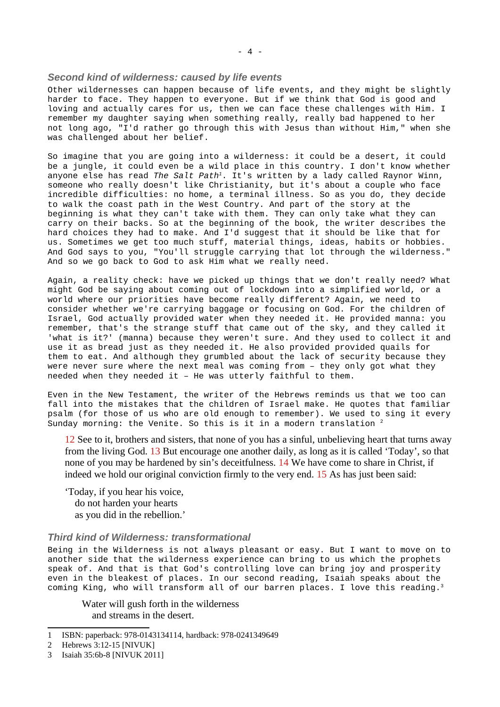#### *Second kind of wilderness: caused by life events*

Other wildernesses can happen because of life events, and they might be slightly harder to face. They happen to everyone. But if we think that God is good and loving and actually cares for us, then we can face these challenges with Him. I remember my daughter saying when something really, really bad happened to her not long ago, "I'd rather go through this with Jesus than without Him," when she was challenged about her belief.

So imagine that you are going into a wilderness: it could be a desert, it could be a jungle, it could even be a wild place in this country. I don't know whether anyone else has read *The Salt Path[1](#page-3-0)*. It's written by a lady called Raynor Winn, someone who really doesn't like Christianity, but it's about a couple who face incredible difficulties: no home, a terminal illness. So as you do, they decide to walk the coast path in the West Country. And part of the story at the beginning is what they can't take with them. They can only take what they can carry on their backs. So at the beginning of the book, the writer describes the hard choices they had to make. And I'd suggest that it should be like that for us. Sometimes we get too much stuff, material things, ideas, habits or hobbies. And God says to you, "You'll struggle carrying that lot through the wilderness." And so we go back to God to ask Him what we really need.

Again, a reality check: have we picked up things that we don't really need? What might God be saying about coming out of lockdown into a simplified world, or a world where our priorities have become really different? Again, we need to consider whether we're carrying baggage or focusing on God. For the children of Israel, God actually provided water when they needed it. He provided manna: you remember, that's the strange stuff that came out of the sky, and they called it 'what is it?' (manna) because they weren't sure. And they used to collect it and use it as bread just as they needed it. He also provided provided quails for them to eat. And although they grumbled about the lack of security because they were never sure where the next meal was coming from - they only got what they needed when they needed it – He was utterly faithful to them.

Even in the New Testament, the writer of the Hebrews reminds us that we too can fall into the mistakes that the children of Israel make. He quotes that familiar psalm (for those of us who are old enough to remember). We used to sing it every Sunday morning: the Venite. So this is it in a modern translation <sup>[2](#page-3-1)</sup>

12 See to it, brothers and sisters, that none of you has a sinful, unbelieving heart that turns away from the living God. 13 But encourage one another daily, as long as it is called 'Today', so that none of you may be hardened by sin's deceitfulness. 14 We have come to share in Christ, if indeed we hold our original conviction firmly to the very end. 15 As has just been said:

'Today, if you hear his voice, do not harden your hearts as you did in the rebellion.'

#### *Third kind of Wilderness: transformational*

Being in the Wilderness is not always pleasant or easy. But I want to move on to another side that the wilderness experience can bring to us which the prophets speak of. And that is that God's controlling love can bring joy and prosperity even in the bleakest of places. In our second reading, Isaiah speaks about the coming King, who will transform all of our barren places. I love this reading.<sup>[3](#page-3-2)</sup>

Water will gush forth in the wilderness and streams in the desert.

<span id="page-3-0"></span><sup>1</sup> ISBN: paperback: 978-0143134114, hardback: 978-0241349649

<span id="page-3-1"></span><sup>2</sup> Hebrews 3:12-15 [NIVUK]

<span id="page-3-2"></span><sup>3</sup> Isaiah 35:6b-8 [NIVUK 2011]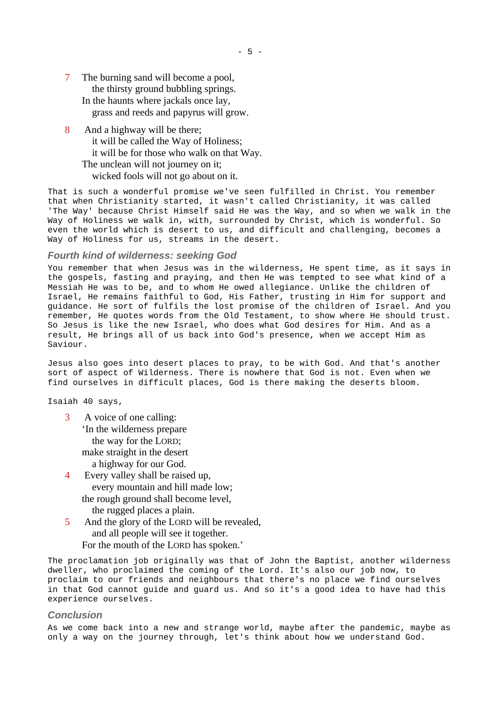- 7 The burning sand will become a pool, the thirsty ground bubbling springs. In the haunts where jackals once lay, grass and reeds and papyrus will grow.
- 8 And a highway will be there; it will be called the Way of Holiness; it will be for those who walk on that Way. The unclean will not journey on it; wicked fools will not go about on it.

That is such a wonderful promise we've seen fulfilled in Christ. You remember that when Christianity started, it wasn't called Christianity, it was called 'The Way' because Christ Himself said He was the Way, and so when we walk in the Way of Holiness we walk in, with, surrounded by Christ, which is wonderful. So even the world which is desert to us, and difficult and challenging, becomes a Way of Holiness for us, streams in the desert.

#### *Fourth kind of wilderness: seeking God*

You remember that when Jesus was in the wilderness, He spent time, as it says in the gospels, fasting and praying, and then He was tempted to see what kind of a Messiah He was to be, and to whom He owed allegiance. Unlike the children of Israel, He remains faithful to God, His Father, trusting in Him for support and guidance. He sort of fulfils the lost promise of the children of Israel. And you remember, He quotes words from the Old Testament, to show where He should trust. So Jesus is like the new Israel, who does what God desires for Him. And as a result, He brings all of us back into God's presence, when we accept Him as Saviour.

Jesus also goes into desert places to pray, to be with God. And that's another sort of aspect of Wilderness. There is nowhere that God is not. Even when we find ourselves in difficult places, God is there making the deserts bloom.

Isaiah 40 says,

- 3 A voice of one calling: 'In the wilderness prepare the way for the LORD; make straight in the desert a highway for our God.
- 4 Every valley shall be raised up, every mountain and hill made low; the rough ground shall become level, the rugged places a plain.
- 5 And the glory of the LORD will be revealed, and all people will see it together. For the mouth of the LORD has spoken.'

The proclamation job originally was that of John the Baptist, another wilderness dweller, who proclaimed the coming of the Lord. It's also our job now, to proclaim to our friends and neighbours that there's no place we find ourselves in that God cannot guide and guard us. And so it's a good idea to have had this experience ourselves.

#### *Conclusion*

As we come back into a new and strange world, maybe after the pandemic, maybe as only a way on the journey through, let's think about how we understand God.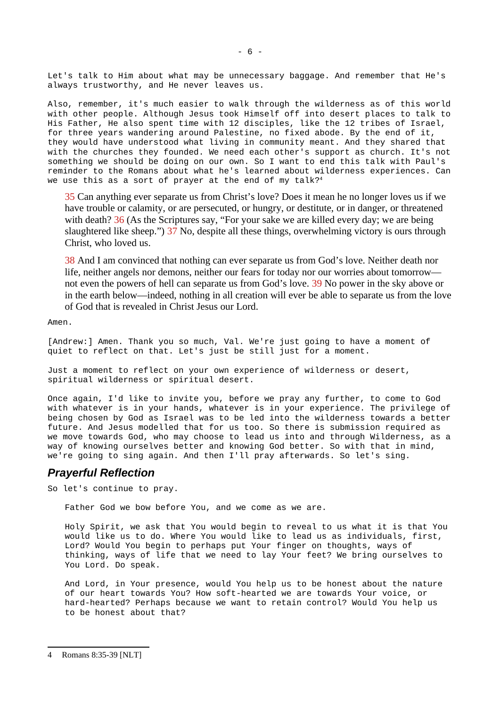Let's talk to Him about what may be unnecessary baggage. And remember that He's always trustworthy, and He never leaves us.

Also, remember, it's much easier to walk through the wilderness as of this world with other people. Although Jesus took Himself off into desert places to talk to His Father, He also spent time with 12 disciples, like the 12 tribes of Israel, for three years wandering around Palestine, no fixed abode. By the end of it, they would have understood what living in community meant. And they shared that with the churches they founded. We need each other's support as church. It's not something we should be doing on our own. So I want to end this talk with Paul's reminder to the Romans about what he's learned about wilderness experiences. Can we use this as a sort of prayer at the end of my talk?<sup>[4](#page-5-0)</sup>

35 Can anything ever separate us from Christ's love? Does it mean he no longer loves us if we have trouble or calamity, or are persecuted, or hungry, or destitute, or in danger, or threatened with death? 36 (As the Scriptures say, "For your sake we are killed every day; we are being slaughtered like sheep.") 37 No, despite all these things, overwhelming victory is ours through Christ, who loved us.

38 And I am convinced that nothing can ever separate us from God's love. Neither death nor life, neither angels nor demons, neither our fears for today nor our worries about tomorrow not even the powers of hell can separate us from God's love. 39 No power in the sky above or in the earth below—indeed, nothing in all creation will ever be able to separate us from the love of God that is revealed in Christ Jesus our Lord.

Amen.

[Andrew:] Amen. Thank you so much, Val. We're just going to have a moment of quiet to reflect on that. Let's just be still just for a moment.

Just a moment to reflect on your own experience of wilderness or desert, spiritual wilderness or spiritual desert.

Once again, I'd like to invite you, before we pray any further, to come to God with whatever is in your hands, whatever is in your experience. The privilege of being chosen by God as Israel was to be led into the wilderness towards a better future. And Jesus modelled that for us too. So there is submission required as we move towards God, who may choose to lead us into and through Wilderness, as a way of knowing ourselves better and knowing God better. So with that in mind, we're going to sing again. And then I'll pray afterwards. So let's sing.

### *Prayerful Reflection*

So let's continue to pray.

Father God we bow before You, and we come as we are.

Holy Spirit, we ask that You would begin to reveal to us what it is that You would like us to do. Where You would like to lead us as individuals, first, Lord? Would You begin to perhaps put Your finger on thoughts, ways of thinking, ways of life that we need to lay Your feet? We bring ourselves to You Lord. Do speak.

And Lord, in Your presence, would You help us to be honest about the nature of our heart towards You? How soft-hearted we are towards Your voice, or hard-hearted? Perhaps because we want to retain control? Would You help us to be honest about that?

<span id="page-5-0"></span><sup>4</sup> Romans 8:35-39 [NLT]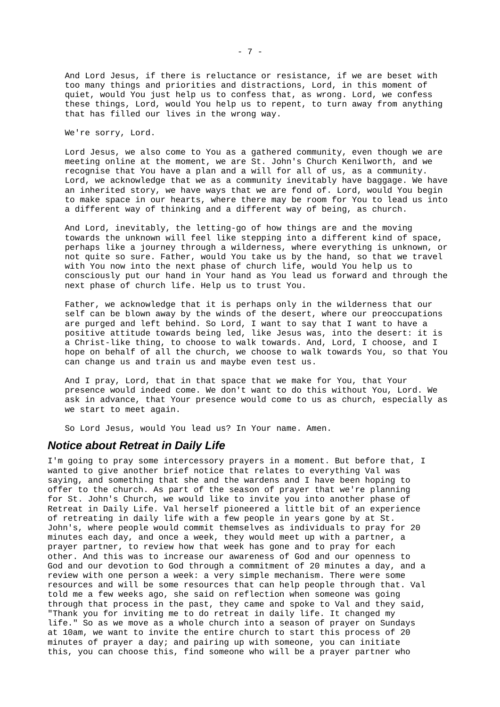And Lord Jesus, if there is reluctance or resistance, if we are beset with too many things and priorities and distractions, Lord, in this moment of quiet, would You just help us to confess that, as wrong. Lord, we confess these things, Lord, would You help us to repent, to turn away from anything that has filled our lives in the wrong way.

We're sorry, Lord.

Lord Jesus, we also come to You as a gathered community, even though we are meeting online at the moment, we are St. John's Church Kenilworth, and we recognise that You have a plan and a will for all of us, as a community. Lord, we acknowledge that we as a community inevitably have baggage. We have an inherited story, we have ways that we are fond of. Lord, would You begin to make space in our hearts, where there may be room for You to lead us into a different way of thinking and a different way of being, as church.

And Lord, inevitably, the letting-go of how things are and the moving towards the unknown will feel like stepping into a different kind of space, perhaps like a journey through a wilderness, where everything is unknown, or not quite so sure. Father, would You take us by the hand, so that we travel with You now into the next phase of church life, would You help us to consciously put our hand in Your hand as You lead us forward and through the next phase of church life. Help us to trust You.

Father, we acknowledge that it is perhaps only in the wilderness that our self can be blown away by the winds of the desert, where our preoccupations are purged and left behind. So Lord, I want to say that I want to have a positive attitude towards being led, like Jesus was, into the desert: it is a Christ-like thing, to choose to walk towards. And, Lord, I choose, and I hope on behalf of all the church, we choose to walk towards You, so that You can change us and train us and maybe even test us.

And I pray, Lord, that in that space that we make for You, that Your presence would indeed come. We don't want to do this without You, Lord. We ask in advance, that Your presence would come to us as church, especially as we start to meet again.

So Lord Jesus, would You lead us? In Your name. Amen.

#### *Notice about Retreat in Daily Life*

I'm going to pray some intercessory prayers in a moment. But before that, I wanted to give another brief notice that relates to everything Val was saying, and something that she and the wardens and I have been hoping to offer to the church. As part of the season of prayer that we're planning for St. John's Church, we would like to invite you into another phase of Retreat in Daily Life. Val herself pioneered a little bit of an experience of retreating in daily life with a few people in years gone by at St. John's, where people would commit themselves as individuals to pray for 20 minutes each day, and once a week, they would meet up with a partner, a prayer partner, to review how that week has gone and to pray for each other. And this was to increase our awareness of God and our openness to God and our devotion to God through a commitment of 20 minutes a day, and a review with one person a week: a very simple mechanism. There were some resources and will be some resources that can help people through that. Val told me a few weeks ago, she said on reflection when someone was going through that process in the past, they came and spoke to Val and they said, "Thank you for inviting me to do retreat in daily life. It changed my life." So as we move as a whole church into a season of prayer on Sundays at 10am, we want to invite the entire church to start this process of 20 minutes of prayer a day; and pairing up with someone, you can initiate this, you can choose this, find someone who will be a prayer partner who